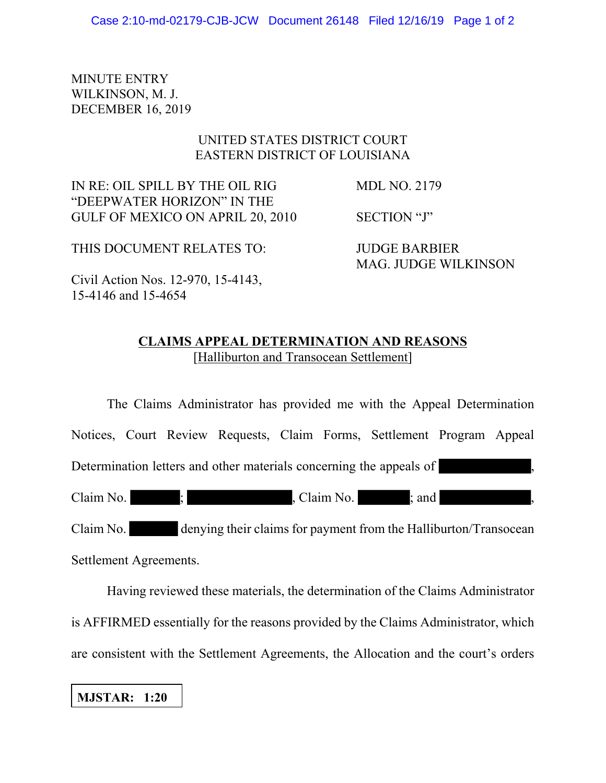MINUTE ENTRY WILKINSON, M. J. DECEMBER 16, 2019

## UNITED STATES DISTRICT COURT EASTERN DISTRICT OF LOUISIANA

IN RE: OIL SPILL BY THE OIL RIG MDL NO. 2179 "DEEPWATER HORIZON" IN THE GULF OF MEXICO ON APRIL 20, 2010 SECTION "J"

THIS DOCUMENT RELATES TO: JUDGE BARBIER

MAG. JUDGE WILKINSON

Civil Action Nos. 12-970, 15-4143, 15-4146 and 15-4654

## **CLAIMS APPEAL DETERMINATION AND REASONS** [Halliburton and Transocean Settlement]

The Claims Administrator has provided me with the Appeal Determination Notices, Court Review Requests, Claim Forms, Settlement Program Appeal Determination letters and other materials concerning the appeals of Claim No.  $\qquad$ ;  $\qquad$  , Claim No.  $\qquad$ ; and Claim No. denying their claims for payment from the Halliburton/Transocean Settlement Agreements.

Having reviewed these materials, the determination of the Claims Administrator is AFFIRMED essentially for the reasons provided by the Claims Administrator, which are consistent with the Settlement Agreements, the Allocation and the court's orders

**MJSTAR: 1:20**